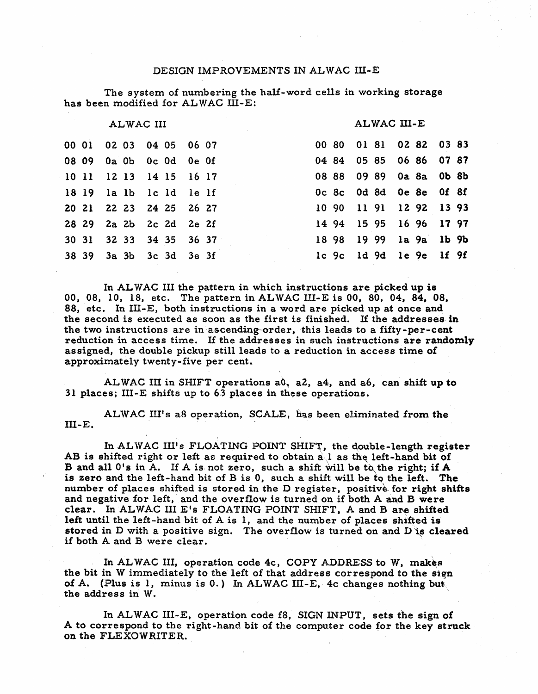#### DESIGN IMPROVEMENTS IN ALWAC III-E

The system of numbering the half-word cells in working storage has been modified for ALWAC III-E:

#### ALWAC III

#### ALWAC III-E

| 00 01 02 03 04 05 06 07 |  |  |  | 00 80 01 81 02 82 03 83 |  |  |  |
|-------------------------|--|--|--|-------------------------|--|--|--|
| 08 09 0a 0b 0c 0d 0e 0f |  |  |  | 04 84 05 85 06 86 07 87 |  |  |  |
| 10 11 12 13 14 15 16 17 |  |  |  | 08 88 09 89 0a 8a 0b 8b |  |  |  |
| 18 19 la lb lc ld le lf |  |  |  | Oc 8c 0d 8d 0e 8e 0f 8f |  |  |  |
| 20 21 22 23 24 25 26 27 |  |  |  | 10 90 11 91 12 92 13 93 |  |  |  |
| 28 29 2a 2b 2c 2d 2e 2f |  |  |  | 14 94 15 95 16 96 17 97 |  |  |  |
| 30 31 32 33 34 35 36 37 |  |  |  | 18 98 19 99 la 9a lb 9b |  |  |  |
| 38 39 3a 3b 3c 3d 3e 3f |  |  |  | lc 9c ld 9d le 9e lf 9f |  |  |  |
|                         |  |  |  |                         |  |  |  |

In ALWAC III the pattern in which instructions are picked up is 00, 08, 10, 18, etc. The pattern in ALWAC III-E is 00, 80, 04, 84, 08, 88, etc. In III-E, both instructions in a word are picked up at once and the second is executed as soon as the first is finished. If the addresses in the two instructions are in ascending-order, this leads to a fifty-per-cent reduction in access time. If the addresses in such instructions are randomly assigned, the double pickup still leads to a reduction in access time of approximately twenty-five per cent.

ALWAC III in SHIFT operations a0, a2, a4, and a6, can shift up to 31 places; III-E shifts up to 63 places in these operations.

ALWAC III's a8 operation, SCALE, has been eliminated from the  $III-E.$ 

In ALWAC III's FLOATING POINT SHIFT, the double-length register AB is shifted right or left as required to obtain all as the left-hand bit of B and all 0's in A. If A is not zero, such a shift will be to the right; if A is zero and the left-hand bit of B is 0, such a shift will be to the left. The number of places shifted is stored in the D register, positive for right shifts and negative for left, and the overflow is turned on if both A and B were clear. In ALWAC III E's FLOATING POINT SHIFT, A and B are shifted left until the left-hand bit of A is 1, and the number of places shifted is stored in D with a positive sign. The overflow is turned on and D is cleared if both A and B were clear.

In ALWAC III, operation code 4c, COPY ADDRESS to W, makes the bit in W immediately to the left of that address correspond to the sign of A. (Plus is 1, minus is  $0.$ ) In ALWAC III-E, 4c changes nothing but the address in W.

In ALWAC III-E, operation code f8, SIGN INPUT, sets the sign of A to correspond to the right-hand bit of the computer code for the key struck on the FLEXOWRITER.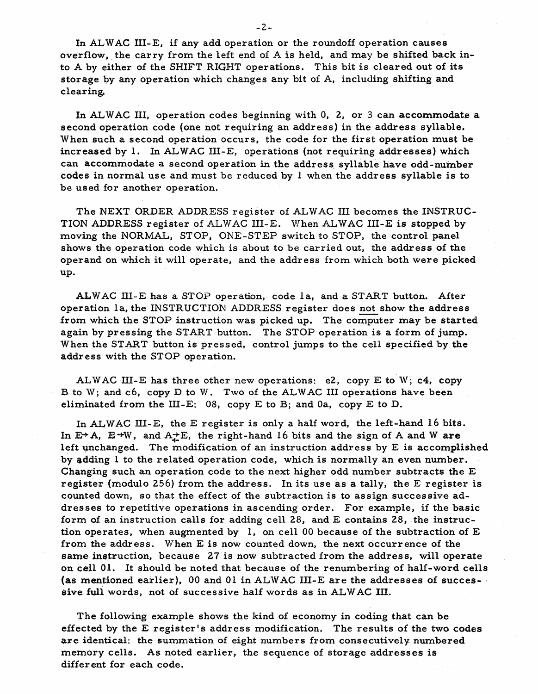In AL WAC III-E, if any add operation or the roundoff operation causes overflow, the carry from the left end of A is held, and may be shifted back into A by either of the SHIFT RIGHT operations. This bit is cleared out of its storage by any operation which changes any bit of A, including shifting and clearing.

In AL WAC III, operation codes beginning with 0, 2, or 3 can accommodate a second operation code (one not requiring an address) in the address syllable. When such a second operation occurs, the code for the first operation must be increased by 1. In ALWAC III-E, operations (not requiring addresses) which can accommodate a second operation in the address, syllable have odd-number codes in normal use and must be reduced by 1 when the address syllable is to be used for another operation.

The NEXT ORDER ADDRESS register of ALWAC III becomes the INSTRUC-TION ADDRESS register of ALWAC III-E. When ALWAC III-E is stopped by moving the NORMAL, STOP, ONE-STEP switch to STOP, the control panel shows the operation code which is about to be carried out, the address of the operand on which it will operate, and the address from which both were picked up.

ALWAC III-E has a STOP operation, code la, and a START button. After operation la, the INSTRUCTION ADDRESS register does not show the address from which the STOP instruction was picked up. The computer may be started again by pressing the START button. The STOP operation is a form of jump. When the START button is pressed, control jumps to the cell specified by the address with the STOP operation.

ALW AC III-E has three other new operations: e2, copy E to W; c4, copy B to W; and c6, copy  $D$  to W. Two of the ALWAC III operations have been eliminated from the III-E: 08, copy E to B; and Oa, copy E to D.

In ALWAC III-E, the E register is only a half word, the left-hand 16 bits. In  $E+A$ ,  $E\rightarrow W$ , and  $A\rightarrow E$ , the right-hand 16 bits and the sign of A and W are left unchanged. The modification of an instruction address by  $E$  is accomplished by adding 1 to the related operation code, which is normally an even number. Changing such an operation code to the next higher odd number subtracts the E register (modulo 256) from the address. In its use as a tally, the E register is counted down, so that the effect of the subtraction is to assign successive addresses to repetitive operations in ascending order. For example, if the basic form of an instruction calls for adding cell 28, and E contains 28, the instruction operates, when augmented by 1, on cell 00 because of the subtraction of E from the address. When  $E$  is now counted down, the next occurrence of the same instruction, because 27 is now subtracted from the address, will operate on cell 01.. It should be noted that because of the renumbering of half-word cells (as mentioned earlier), 00 and 01 in ALWAC III-E are the addresses of succes- . sive fuli words, not of successive half words as in ALWAC III.

The following example shows the kind of economy in coding that can be effected by the E register's address modification. The results of the two codes are identical: the summation of eight numbers from consecutively numbered memory cells. As noted earlier, the sequence of storage addresses is different for each code.

 $-2-$